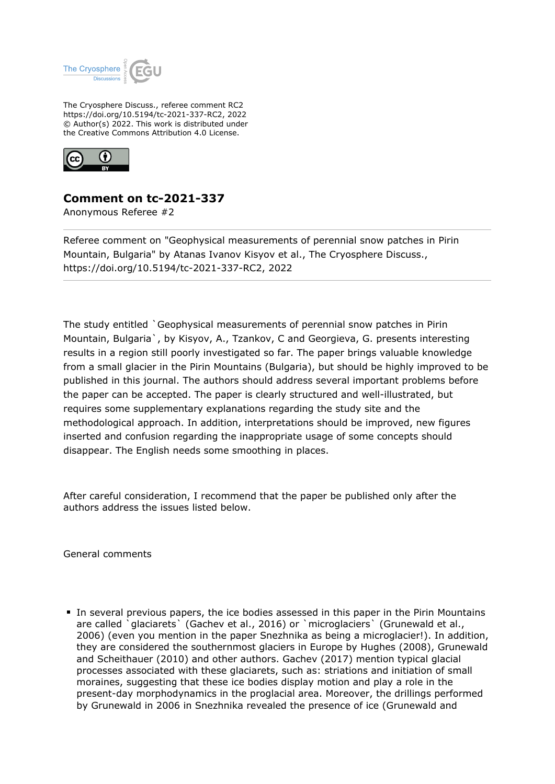

The Cryosphere Discuss., referee comment RC2 https://doi.org/10.5194/tc-2021-337-RC2, 2022 © Author(s) 2022. This work is distributed under the Creative Commons Attribution 4.0 License.



## **Comment on tc-2021-337**

Anonymous Referee #2

Referee comment on "Geophysical measurements of perennial snow patches in Pirin Mountain, Bulgaria" by Atanas Ivanov Kisyov et al., The Cryosphere Discuss., https://doi.org/10.5194/tc-2021-337-RC2, 2022

The study entitled `Geophysical measurements of perennial snow patches in Pirin Mountain, Bulgaria`, by Kisyov, A., Tzankov, C and Georgieva, G. presents interesting results in a region still poorly investigated so far. The paper brings valuable knowledge from a small glacier in the Pirin Mountains (Bulgaria), but should be highly improved to be published in this journal. The authors should address several important problems before the paper can be accepted. The paper is clearly structured and well-illustrated, but requires some supplementary explanations regarding the study site and the methodological approach. In addition, interpretations should be improved, new figures inserted and confusion regarding the inappropriate usage of some concepts should disappear. The English needs some smoothing in places.

After careful consideration, I recommend that the paper be published only after the authors address the issues listed below.

General comments

In several previous papers, the ice bodies assessed in this paper in the Pirin Mountains are called `glaciarets` (Gachev et al., 2016) or `microglaciers` (Grunewald et al., 2006) (even you mention in the paper Snezhnika as being a microglacier!). In addition, they are considered the southernmost glaciers in Europe by Hughes (2008), Grunewald and Scheithauer (2010) and other authors. Gachev (2017) mention typical glacial processes associated with these glaciarets, such as: striations and initiation of small moraines, suggesting that these ice bodies display motion and play a role in the present-day morphodynamics in the proglacial area. Moreover, the drillings performed by Grunewald in 2006 in Snezhnika revealed the presence of ice (Grunewald and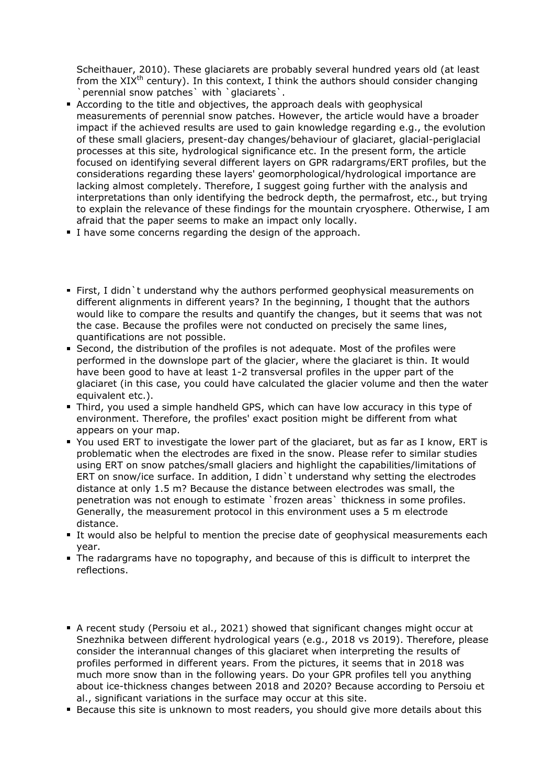Scheithauer, 2010). These glaciarets are probably several hundred years old (at least from the  $XIX^{th}$  century). In this context, I think the authors should consider changing `perennial snow patches` with `glaciarets`.

- According to the title and objectives, the approach deals with geophysical measurements of perennial snow patches. However, the article would have a broader impact if the achieved results are used to gain knowledge regarding e.g., the evolution of these small glaciers, present-day changes/behaviour of glaciaret, glacial-periglacial processes at this site, hydrological significance etc. In the present form, the article focused on identifying several different layers on GPR radargrams/ERT profiles, but the considerations regarding these layers' geomorphological/hydrological importance are lacking almost completely. Therefore, I suggest going further with the analysis and interpretations than only identifying the bedrock depth, the permafrost, etc., but trying to explain the relevance of these findings for the mountain cryosphere. Otherwise, I am afraid that the paper seems to make an impact only locally.
- I have some concerns regarding the design of the approach.
- First, I didn`t understand why the authors performed geophysical measurements on different alignments in different years? In the beginning, I thought that the authors would like to compare the results and quantify the changes, but it seems that was not the case. Because the profiles were not conducted on precisely the same lines, quantifications are not possible.
- Second, the distribution of the profiles is not adequate. Most of the profiles were performed in the downslope part of the glacier, where the glaciaret is thin. It would have been good to have at least 1-2 transversal profiles in the upper part of the glaciaret (in this case, you could have calculated the glacier volume and then the water equivalent etc.).
- Third, you used a simple handheld GPS, which can have low accuracy in this type of environment. Therefore, the profiles' exact position might be different from what appears on your map.
- You used ERT to investigate the lower part of the glaciaret, but as far as I know, ERT is problematic when the electrodes are fixed in the snow. Please refer to similar studies using ERT on snow patches/small glaciers and highlight the capabilities/limitations of ERT on snow/ice surface. In addition, I didn`t understand why setting the electrodes distance at only 1.5 m? Because the distance between electrodes was small, the penetration was not enough to estimate `frozen areas` thickness in some profiles. Generally, the measurement protocol in this environment uses a 5 m electrode distance.
- It would also be helpful to mention the precise date of geophysical measurements each year.
- The radargrams have no topography, and because of this is difficult to interpret the reflections.
- A recent study (Persoiu et al., 2021) showed that significant changes might occur at Snezhnika between different hydrological years (e.g., 2018 vs 2019). Therefore, please consider the interannual changes of this glaciaret when interpreting the results of profiles performed in different years. From the pictures, it seems that in 2018 was much more snow than in the following years. Do your GPR profiles tell you anything about ice-thickness changes between 2018 and 2020? Because according to Persoiu et al., significant variations in the surface may occur at this site.
- **Because this site is unknown to most readers, you should give more details about this**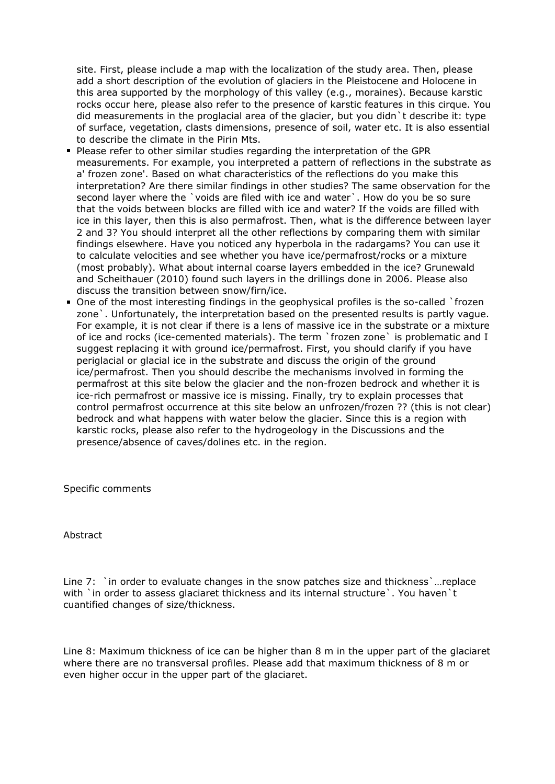site. First, please include a map with the localization of the study area. Then, please add a short description of the evolution of glaciers in the Pleistocene and Holocene in this area supported by the morphology of this valley (e.g., moraines). Because karstic rocks occur here, please also refer to the presence of karstic features in this cirque. You did measurements in the proglacial area of the glacier, but you didn`t describe it: type of surface, vegetation, clasts dimensions, presence of soil, water etc. It is also essential to describe the climate in the Pirin Mts.

- Please refer to other similar studies regarding the interpretation of the GPR measurements. For example, you interpreted a pattern of reflections in the substrate as a' frozen zone'. Based on what characteristics of the reflections do you make this interpretation? Are there similar findings in other studies? The same observation for the second layer where the `voids are filed with ice and water`. How do you be so sure that the voids between blocks are filled with ice and water? If the voids are filled with ice in this layer, then this is also permafrost. Then, what is the difference between layer 2 and 3? You should interpret all the other reflections by comparing them with similar findings elsewhere. Have you noticed any hyperbola in the radargams? You can use it to calculate velocities and see whether you have ice/permafrost/rocks or a mixture (most probably). What about internal coarse layers embedded in the ice? Grunewald and Scheithauer (2010) found such layers in the drillings done in 2006. Please also discuss the transition between snow/firn/ice.
- One of the most interesting findings in the geophysical profiles is the so-called `frozen zone`. Unfortunately, the interpretation based on the presented results is partly vague. For example, it is not clear if there is a lens of massive ice in the substrate or a mixture of ice and rocks (ice-cemented materials). The term `frozen zone` is problematic and I suggest replacing it with ground ice/permafrost. First, you should clarify if you have periglacial or glacial ice in the substrate and discuss the origin of the ground ice/permafrost. Then you should describe the mechanisms involved in forming the permafrost at this site below the glacier and the non-frozen bedrock and whether it is ice-rich permafrost or massive ice is missing. Finally, try to explain processes that control permafrost occurrence at this site below an unfrozen/frozen ?? (this is not clear) bedrock and what happens with water below the glacier. Since this is a region with karstic rocks, please also refer to the hydrogeology in the Discussions and the presence/absence of caves/dolines etc. in the region.

Specific comments

Abstract

Line 7: `in order to evaluate changes in the snow patches size and thickness `... replace with `in order to assess glaciaret thickness and its internal structure `. You haven `t cuantified changes of size/thickness.

Line 8: Maximum thickness of ice can be higher than 8 m in the upper part of the glaciaret where there are no transversal profiles. Please add that maximum thickness of 8 m or even higher occur in the upper part of the glaciaret.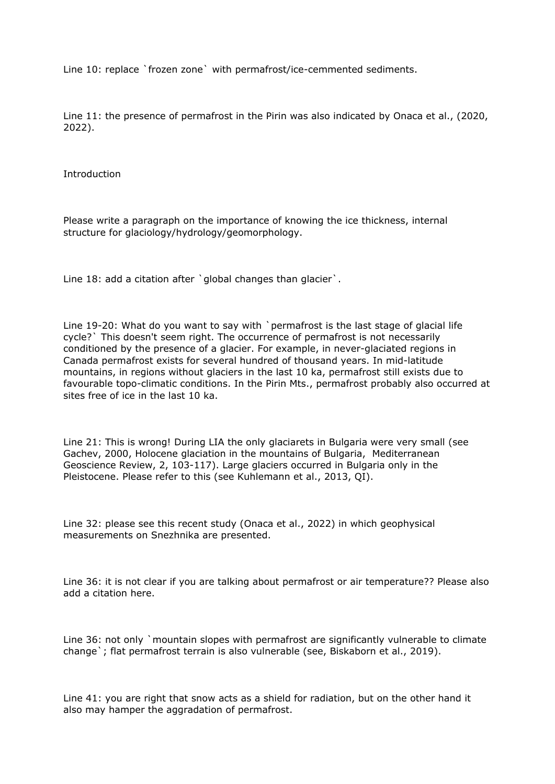Line 10: replace `frozen zone` with permafrost/ice-cemmented sediments.

Line 11: the presence of permafrost in the Pirin was also indicated by Onaca et al., (2020, 2022).

Introduction

Please write a paragraph on the importance of knowing the ice thickness, internal structure for glaciology/hydrology/geomorphology.

Line 18: add a citation after `global changes than glacier`.

Line 19-20: What do you want to say with `permafrost is the last stage of glacial life cycle?` This doesn't seem right. The occurrence of permafrost is not necessarily conditioned by the presence of a glacier. For example, in never-glaciated regions in Canada permafrost exists for several hundred of thousand years. In mid-latitude mountains, in regions without glaciers in the last 10 ka, permafrost still exists due to favourable topo-climatic conditions. In the Pirin Mts., permafrost probably also occurred at sites free of ice in the last 10 ka.

Line 21: This is wrong! During LIA the only glaciarets in Bulgaria were very small (see Gachev, 2000, Holocene glaciation in the mountains of Bulgaria, Mediterranean Geoscience Review, 2, 103-117). Large glaciers occurred in Bulgaria only in the Pleistocene. Please refer to this (see Kuhlemann et al., 2013, QI).

Line 32: please see this recent study (Onaca et al., 2022) in which geophysical measurements on Snezhnika are presented.

Line 36: it is not clear if you are talking about permafrost or air temperature?? Please also add a citation here.

Line 36: not only `mountain slopes with permafrost are significantly vulnerable to climate change`; flat permafrost terrain is also vulnerable (see, Biskaborn et al., 2019).

Line 41: you are right that snow acts as a shield for radiation, but on the other hand it also may hamper the aggradation of permafrost.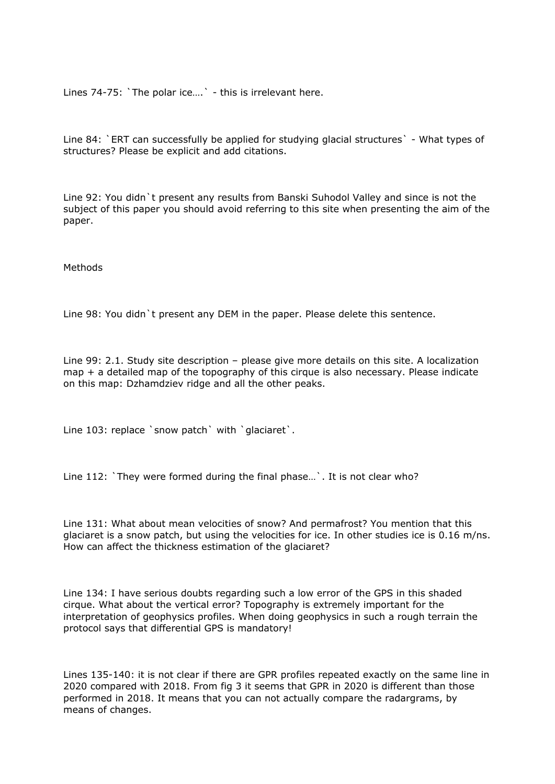Lines 74-75: `The polar ice....` - this is irrelevant here.

Line 84: `ERT can successfully be applied for studying glacial structures` - What types of structures? Please be explicit and add citations.

Line 92: You didn`t present any results from Banski Suhodol Valley and since is not the subject of this paper you should avoid referring to this site when presenting the aim of the paper.

Methods

Line 98: You didn`t present any DEM in the paper. Please delete this sentence.

Line 99: 2.1. Study site description – please give more details on this site. A localization map + a detailed map of the topography of this cirque is also necessary. Please indicate on this map: Dzhamdziev ridge and all the other peaks.

Line 103: replace `snow patch` with `qlaciaret`.

Line 112: `They were formed during the final phase...`. It is not clear who?

Line 131: What about mean velocities of snow? And permafrost? You mention that this glaciaret is a snow patch, but using the velocities for ice. In other studies ice is 0.16 m/ns. How can affect the thickness estimation of the glaciaret?

Line 134: I have serious doubts regarding such a low error of the GPS in this shaded cirque. What about the vertical error? Topography is extremely important for the interpretation of geophysics profiles. When doing geophysics in such a rough terrain the protocol says that differential GPS is mandatory!

Lines 135-140: it is not clear if there are GPR profiles repeated exactly on the same line in 2020 compared with 2018. From fig 3 it seems that GPR in 2020 is different than those performed in 2018. It means that you can not actually compare the radargrams, by means of changes.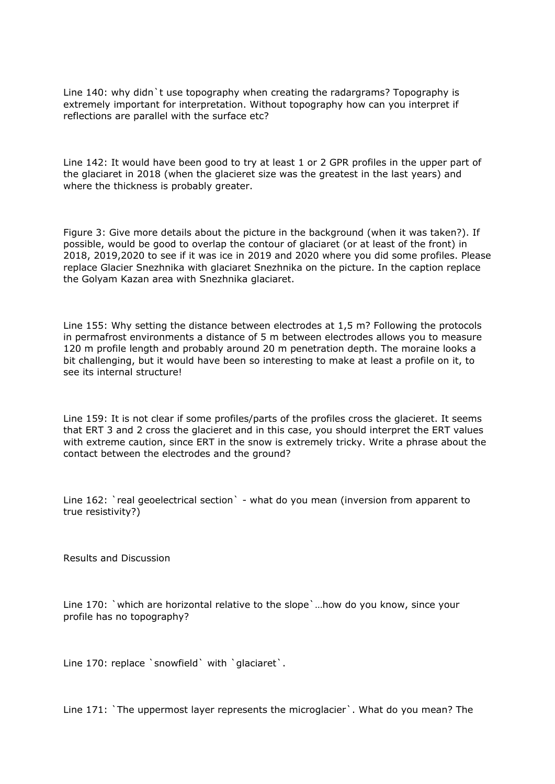Line 140: why didn`t use topography when creating the radargrams? Topography is extremely important for interpretation. Without topography how can you interpret if reflections are parallel with the surface etc?

Line 142: It would have been good to try at least 1 or 2 GPR profiles in the upper part of the glaciaret in 2018 (when the glacieret size was the greatest in the last years) and where the thickness is probably greater.

Figure 3: Give more details about the picture in the background (when it was taken?). If possible, would be good to overlap the contour of glaciaret (or at least of the front) in 2018, 2019,2020 to see if it was ice in 2019 and 2020 where you did some profiles. Please replace Glacier Snezhnika with glaciaret Snezhnika on the picture. In the caption replace the Golyam Kazan area with Snezhnika glaciaret.

Line 155: Why setting the distance between electrodes at 1,5 m? Following the protocols in permafrost environments a distance of 5 m between electrodes allows you to measure 120 m profile length and probably around 20 m penetration depth. The moraine looks a bit challenging, but it would have been so interesting to make at least a profile on it, to see its internal structure!

Line 159: It is not clear if some profiles/parts of the profiles cross the glacieret. It seems that ERT 3 and 2 cross the glacieret and in this case, you should interpret the ERT values with extreme caution, since ERT in the snow is extremely tricky. Write a phrase about the contact between the electrodes and the ground?

Line 162: `real geoelectrical section` - what do you mean (inversion from apparent to true resistivity?)

Results and Discussion

Line 170: `which are horizontal relative to the slope`…how do you know, since your profile has no topography?

Line 170: replace `snowfield` with `glaciaret`.

Line 171: `The uppermost layer represents the microglacier`. What do you mean? The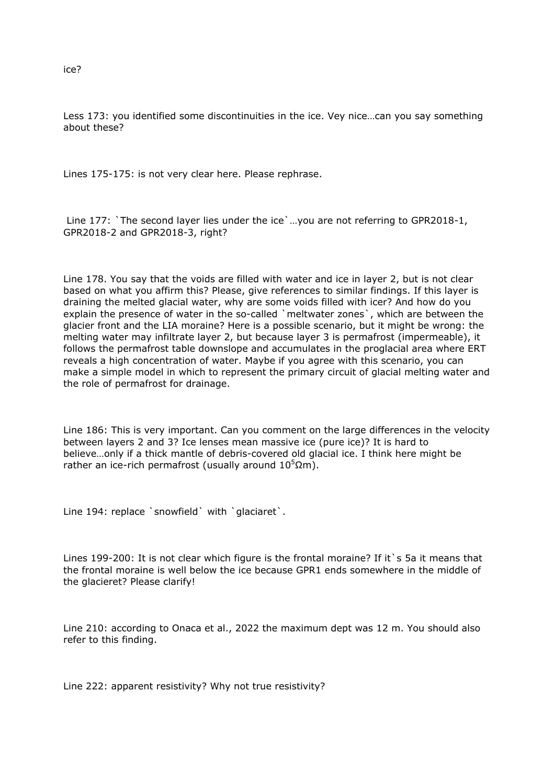Less 173: you identified some discontinuities in the ice. Vey nice…can you say something about these?

Lines 175-175: is not very clear here. Please rephrase.

 Line 177: `The second layer lies under the ice`…you are not referring to GPR2018-1, GPR2018-2 and GPR2018-3, right?

Line 178. You say that the voids are filled with water and ice in layer 2, but is not clear based on what you affirm this? Please, give references to similar findings. If this layer is draining the melted glacial water, why are some voids filled with icer? And how do you explain the presence of water in the so-called `meltwater zones`, which are between the glacier front and the LIA moraine? Here is a possible scenario, but it might be wrong: the melting water may infiltrate layer 2, but because layer 3 is permafrost (impermeable), it follows the permafrost table downslope and accumulates in the proglacial area where ERT reveals a high concentration of water. Maybe if you agree with this scenario, you can make a simple model in which to represent the primary circuit of glacial melting water and the role of permafrost for drainage.

Line 186: This is very important. Can you comment on the large differences in the velocity between layers 2 and 3? Ice lenses mean massive ice (pure ice)? It is hard to believe…only if a thick mantle of debris-covered old glacial ice. I think here might be rather an ice-rich permafrost (usually around  $10^5$ Ωm).

Line 194: replace `snowfield` with `glaciaret`.

Lines 199-200: It is not clear which figure is the frontal moraine? If it s 5a it means that the frontal moraine is well below the ice because GPR1 ends somewhere in the middle of the glacieret? Please clarify!

Line 210: according to Onaca et al., 2022 the maximum dept was 12 m. You should also refer to this finding.

Line 222: apparent resistivity? Why not true resistivity?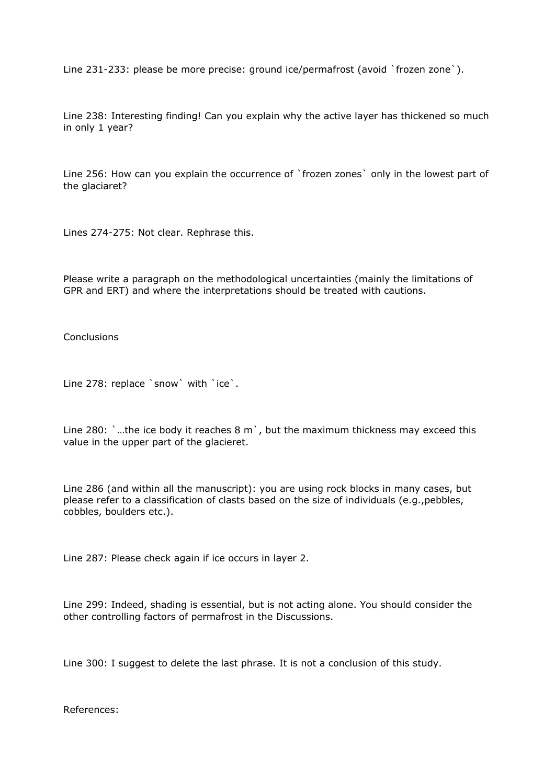Line 231-233: please be more precise: ground ice/permafrost (avoid `frozen zone`).

Line 238: Interesting finding! Can you explain why the active layer has thickened so much in only 1 year?

Line 256: How can you explain the occurrence of `frozen zones` only in the lowest part of the glaciaret?

Lines 274-275: Not clear. Rephrase this.

Please write a paragraph on the methodological uncertainties (mainly the limitations of GPR and ERT) and where the interpretations should be treated with cautions.

Conclusions

Line 278: replace `snow` with `ice`.

Line 280: `...the ice body it reaches 8 m `, but the maximum thickness may exceed this value in the upper part of the glacieret.

Line 286 (and within all the manuscript): you are using rock blocks in many cases, but please refer to a classification of clasts based on the size of individuals (e.g.,pebbles, cobbles, boulders etc.).

Line 287: Please check again if ice occurs in layer 2.

Line 299: Indeed, shading is essential, but is not acting alone. You should consider the other controlling factors of permafrost in the Discussions.

Line 300: I suggest to delete the last phrase. It is not a conclusion of this study.

References: